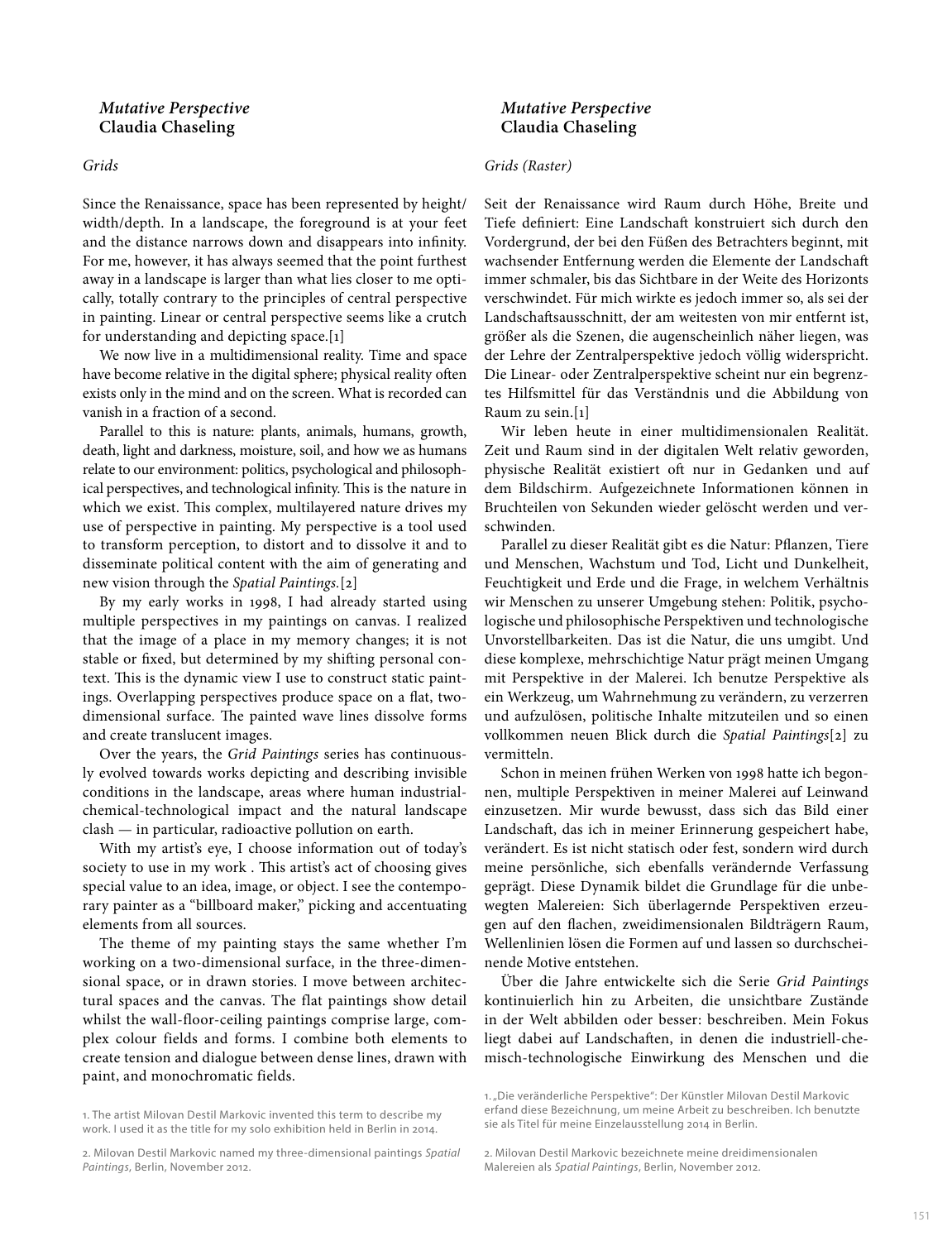## *Grids*

Since the Renaissance, space has been represented by height/ width/depth. In a landscape, the foreground is at your feet and the distance narrows down and disappears into infnity. For me, however, it has always seemed that the point furthest away in a landscape is larger than what lies closer to me optically, totally contrary to the principles of central perspective in painting. Linear or central perspective seems like a crutch for understanding and depicting space.[1]

We now live in a multidimensional reality. Time and space have become relative in the digital sphere; physical reality often exists only in the mind and on the screen. What is recorded can vanish in a fraction of a second.

Parallel to this is nature: plants, animals, humans, growth, death, light and darkness, moisture, soil, and how we as humans relate to our environment: politics, psychological and philosophical perspectives, and technological infinity. This is the nature in which we exist. This complex, multilayered nature drives my use of perspective in painting. My perspective is a tool used to transform perception, to distort and to dissolve it and to disseminate political content with the aim of generating and new vision through the *Spatial Paintings.*[2]

By my early works in 1998, I had already started using multiple perspectives in my paintings on canvas. I realized that the image of a place in my memory changes; it is not stable or fxed, but determined by my shifing personal context. This is the dynamic view I use to construct static paintings. Overlapping perspectives produce space on a fat, twodimensional surface. The painted wave lines dissolve forms and create translucent images.

Over the years, the *Grid Paintings* series has continuously evolved towards works depicting and describing invisible conditions in the landscape, areas where human industrialchemical-technological impact and the natural landscape clash — in particular, radioactive pollution on earth.

With my artist's eye, I choose information out of today's society to use in my work. This artist's act of choosing gives special value to an idea, image, or object. I see the contemporary painter as a "billboard maker," picking and accentuating elements from all sources.

The theme of my painting stays the same whether I'm working on a two-dimensional surface, in the three-dimensional space, or in drawn stories. I move between architectural spaces and the canvas. The flat paintings show detail whilst the wall-floor-ceiling paintings comprise large, complex colour fields and forms. I combine both elements to create tension and dialogue between dense lines, drawn with paint, and monochromatic fields.

2. Milovan Destil Markovic named my three-dimensional paintings *Spatial Paintings*, Berlin, November 2012.

# *Mutative Perspective* **Claudia Chaseling**

# *Grids (Raster)*

Seit der Renaissance wird Raum durch Höhe, Breite und Tiefe definiert: Eine Landschaft konstruiert sich durch den Vordergrund, der bei den Füßen des Betrachters beginnt, mit wachsender Entfernung werden die Elemente der Landschaf immer schmaler, bis das Sichtbare in der Weite des Horizonts verschwindet. Für mich wirkte es jedoch immer so, als sei der Landschafsausschnitt, der am weitesten von mir entfernt ist, größer als die Szenen, die augenscheinlich näher liegen, was der Lehre der Zentralperspektive jedoch völlig widerspricht. Die Linear- oder Zentralperspektive scheint nur ein begrenztes Hilfsmittel für das Verständnis und die Abbildung von Raum zu sein.[1]

Wir leben heute in einer multidimensionalen Realität. Zeit und Raum sind in der digitalen Welt relativ geworden, physische Realität existiert oft nur in Gedanken und auf dem Bildschirm. Aufgezeichnete Informationen können in Bruchteilen von Sekunden wieder gelöscht werden und verschwinden.

Parallel zu dieser Realität gibt es die Natur: Pflanzen, Tiere und Menschen, Wachstum und Tod, Licht und Dunkelheit, Feuchtigkeit und Erde und die Frage, in welchem Verhältnis wir Menschen zu unserer Umgebung stehen: Politik, psychologische und philosophische Perspektiven und technologische Unvorstellbarkeiten. Das ist die Natur, die uns umgibt. Und diese komplexe, mehrschichtige Natur prägt meinen Umgang mit Perspektive in der Malerei. Ich benutze Perspektive als ein Werkzeug, um Wahrnehmung zu verändern, zu verzerren und aufzulösen, politische Inhalte mitzuteilen und so einen vollkommen neuen Blick durch die *Spatial Paintings*[2] zu vermitteln.

Schon in meinen frühen Werken von 1998 hatte ich begonnen, multiple Perspektiven in meiner Malerei auf Leinwand einzusetzen. Mir wurde bewusst, dass sich das Bild einer Landschaf, das ich in meiner Erinnerung gespeichert habe, verändert. Es ist nicht statisch oder fest, sondern wird durch meine persönliche, sich ebenfalls verändernde Verfassung geprägt. Diese Dynamik bildet die Grundlage für die unbewegten Malereien: Sich überlagernde Perspektiven erzeugen auf den fachen, zweidimensionalen Bildträgern Raum, Wellenlinien lösen die Formen auf und lassen so durchscheinende Motive entstehen.

Über die Jahre entwickelte sich die Serie *Grid Paintings* kontinuierlich hin zu Arbeiten, die unsichtbare Zustände in der Welt abbilden oder besser: beschreiben. Mein Fokus liegt dabei auf Landschafen, in denen die industriell-chemisch-technologische Einwirkung des Menschen und die

<sup>1</sup>. The artist Milovan Destil Markovic invented this term to describe my work. I used it as the title for my solo exhibition held in Berlin in 2014.

<sup>1. &</sup>quot;Die veränderliche Perspektive": Der Künstler Milovan Destil Markovic erfand diese Bezeichnung, um meine Arbeit zu beschreiben. Ich benutzte sie als Titel für meine Einzelausstellung 2014 in Berlin.

<sup>2</sup>. Milovan Destil Markovic bezeichnete meine dreidimensionalen Malereien als *Spatial Paintings*, Berlin, November 2012.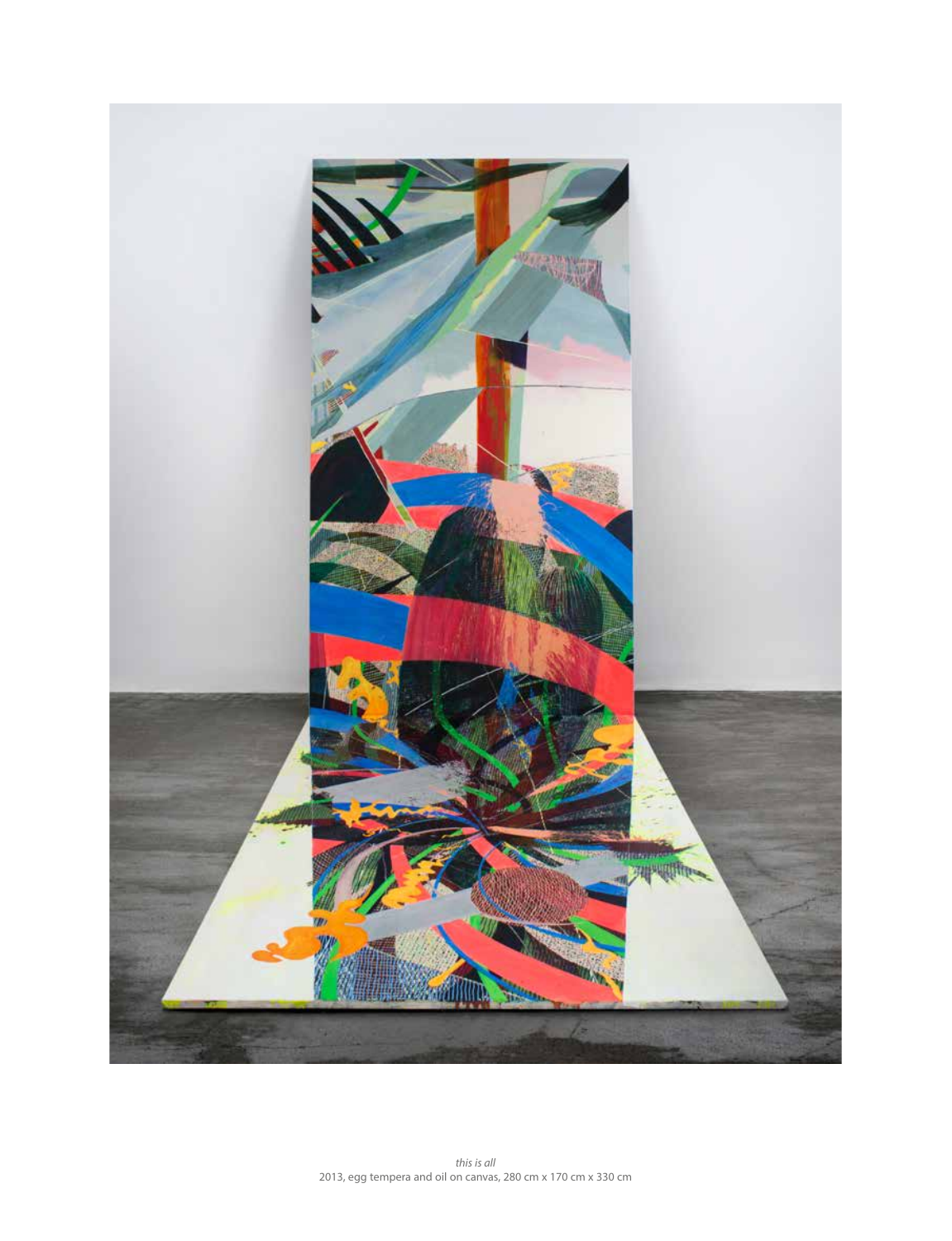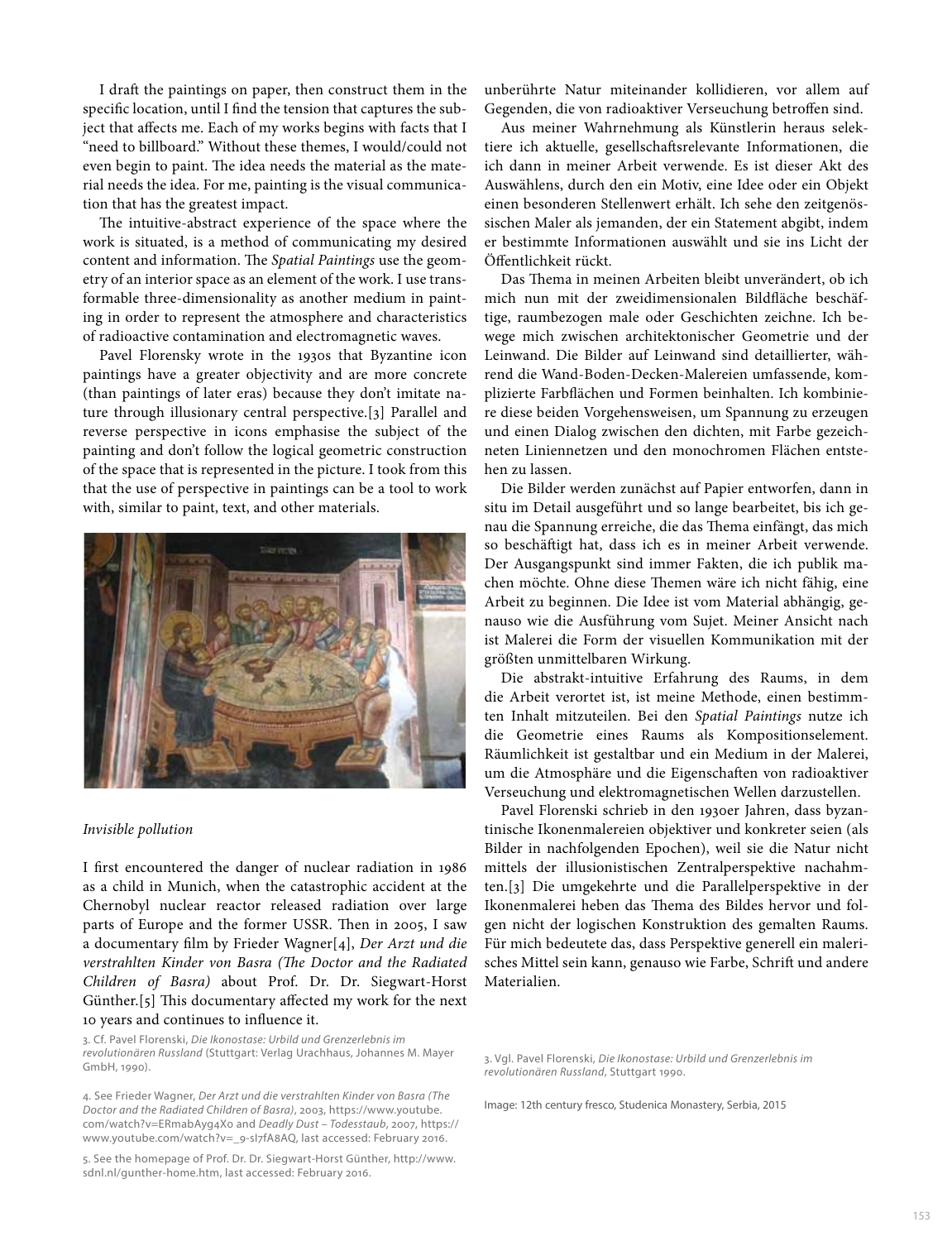I draft the paintings on paper, then construct them in the specifc location, until I fnd the tension that captures the subject that affects me. Each of my works begins with facts that I "need to billboard." Without these themes, I would/could not even begin to paint. The idea needs the material as the material needs the idea. For me, painting is the visual communication that has the greatest impact.

The intuitive-abstract experience of the space where the work is situated, is a method of communicating my desired content and information. The *Spatial Paintings* use the geometry of an interior space as an element of the work. I use transformable three-dimensionality as another medium in painting in order to represent the atmosphere and characteristics of radioactive contamination and electromagnetic waves.

Pavel Florensky wrote in the 1930s that Byzantine icon paintings have a greater objectivity and are more concrete (than paintings of later eras) because they don't imitate nature through illusionary central perspective.[3] Parallel and reverse perspective in icons emphasise the subject of the painting and don't follow the logical geometric construction of the space that is represented in the picture. I took from this that the use of perspective in paintings can be a tool to work with, similar to paint, text, and other materials.



### *Invisible pollution*

I frst encountered the danger of nuclear radiation in 1986 as a child in Munich, when the catastrophic accident at the Chernobyl nuclear reactor released radiation over large parts of Europe and the former USSR. Then in 2005, I saw a documentary flm by Frieder Wagner[4], *Der Arzt und die verstrahlten Kinder von Basra (The Doctor and the Radiated Children of Basra)* about Prof. Dr. Dr. Siegwart-Horst Günther.[5] This documentary affected my work for the next 10 years and continues to infuence it.

3. Cf. Pavel Florenski, *Die Ikonostase: Urbild und Grenzerlebnis im revolutionären Russland* (Stuttgart: Verlag Urachhaus, Johannes M. Mayer GmbH, 1990).

4. See Frieder Wagner, *Der Arzt und die verstrahlten Kinder von Basra (The Doctor and the Radiated Children of Basra)*, 2003, https://www.youtube. com/watch?v=ERmabAyg4X0 and *Deadly Dust – Todesstaub*, 2007, https:// www.youtube.com/watch?v=\_9-sI7fA8AQ, last accessed: February 2016.

5. See the homepage of Prof. Dr. Dr. Siegwart-Horst Günther, http://www. sdnl.nl/gunther-home.htm, last accessed: February 2016.

unberührte Natur miteinander kollidieren, vor allem auf Gegenden, die von radioaktiver Verseuchung betroffen sind.

Aus meiner Wahrnehmung als Künstlerin heraus selektiere ich aktuelle, gesellschafsrelevante Informationen, die ich dann in meiner Arbeit verwende. Es ist dieser Akt des Auswählens, durch den ein Motiv, eine Idee oder ein Objekt einen besonderen Stellenwert erhält. Ich sehe den zeitgenössischen Maler als jemanden, der ein Statement abgibt, indem er bestimmte Informationen auswählt und sie ins Licht der Öfentlichkeit rückt.

Das Thema in meinen Arbeiten bleibt unverändert, ob ich mich nun mit der zweidimensionalen Bildfäche beschäftige, raumbezogen male oder Geschichten zeichne. Ich bewege mich zwischen architektonischer Geometrie und der Leinwand. Die Bilder auf Leinwand sind detaillierter, während die Wand-Boden-Decken-Malereien umfassende, komplizierte Farbfächen und Formen beinhalten. Ich kombiniere diese beiden Vorgehensweisen, um Spannung zu erzeugen und einen Dialog zwischen den dichten, mit Farbe gezeichneten Liniennetzen und den monochromen Flächen entstehen zu lassen.

Die Bilder werden zunächst auf Papier entworfen, dann in situ im Detail ausgeführt und so lange bearbeitet, bis ich genau die Spannung erreiche, die das Thema einfängt, das mich so beschäfigt hat, dass ich es in meiner Arbeit verwende. Der Ausgangspunkt sind immer Fakten, die ich publik machen möchte. Ohne diese Themen wäre ich nicht fähig, eine Arbeit zu beginnen. Die Idee ist vom Material abhängig, genauso wie die Ausführung vom Sujet. Meiner Ansicht nach ist Malerei die Form der visuellen Kommunikation mit der größten unmittelbaren Wirkung.

Die abstrakt-intuitive Erfahrung des Raums, in dem die Arbeit verortet ist, ist meine Methode, einen bestimmten Inhalt mitzuteilen. Bei den *Spatial Paintings* nutze ich die Geometrie eines Raums als Kompositionselement. Räumlichkeit ist gestaltbar und ein Medium in der Malerei, um die Atmosphäre und die Eigenschafen von radioaktiver Verseuchung und elektromagnetischen Wellen darzustellen.

Pavel Florenski schrieb in den 1930er Jahren, dass byzantinische Ikonenmalereien objektiver und konkreter seien (als Bilder in nachfolgenden Epochen), weil sie die Natur nicht mittels der illusionistischen Zentralperspektive nachahmten.[3] Die umgekehrte und die Parallelperspektive in der Ikonenmalerei heben das Thema des Bildes hervor und folgen nicht der logischen Konstruktion des gemalten Raums. Für mich bedeutete das, dass Perspektive generell ein malerisches Mittel sein kann, genauso wie Farbe, Schrif und andere Materialien.

3. Vgl. Pavel Florenski, *Die Ikonostase: Urbild und Grenzerlebnis im revolutionären Russland*, Stuttgart 1990.

Image: 12th century fresco, Studenica Monastery, Serbia, 2015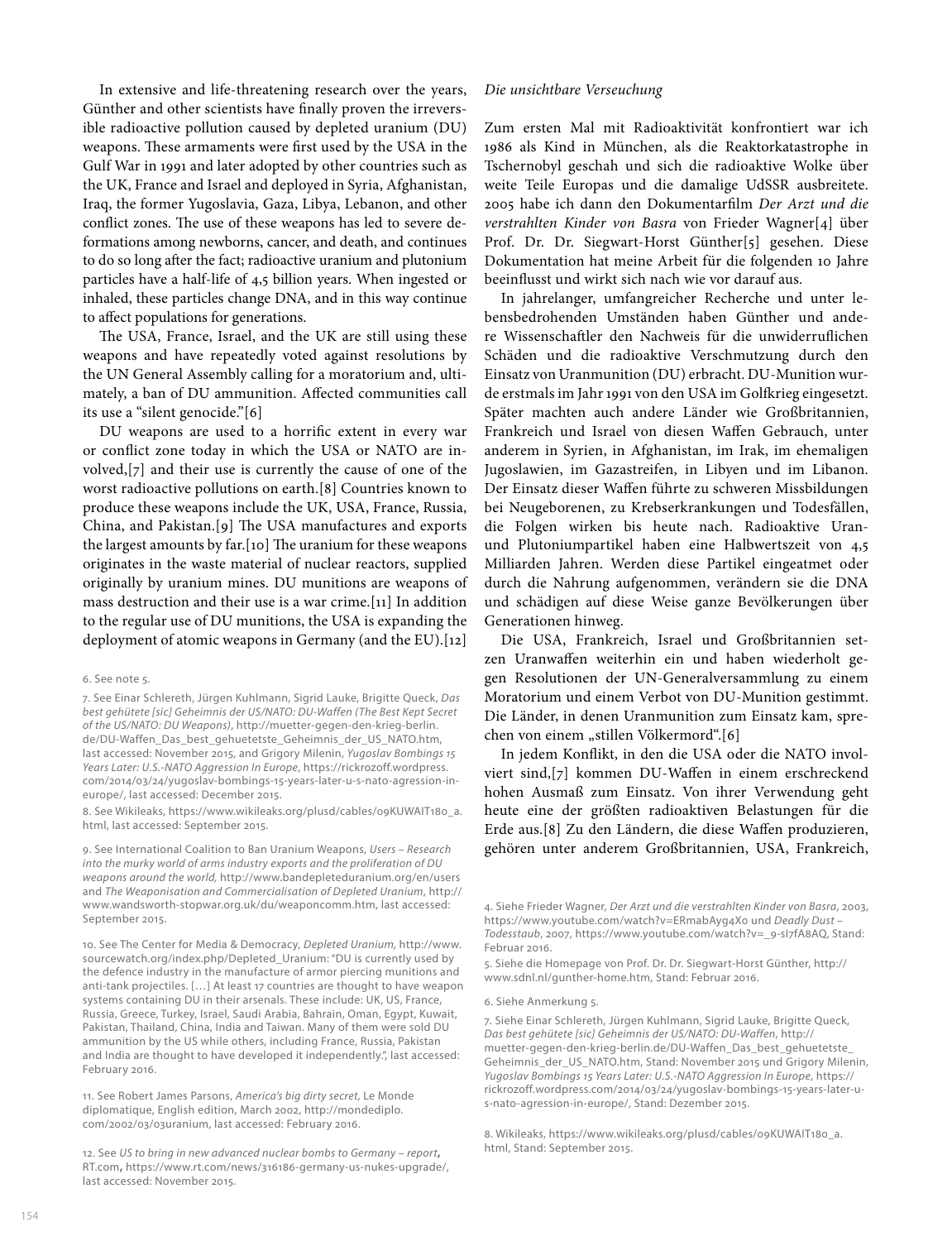In extensive and life-threatening research over the years, Günther and other scientists have fnally proven the irreversible radioactive pollution caused by depleted uranium (DU) weapons. These armaments were first used by the USA in the Gulf War in 1991 and later adopted by other countries such as the UK, France and Israel and deployed in Syria, Afghanistan, Iraq, the former Yugoslavia, Gaza, Libya, Lebanon, and other conflict zones. The use of these weapons has led to severe deformations among newborns, cancer, and death, and continues to do so long afer the fact; radioactive uranium and plutonium particles have a half-life of 4,5 billion years. When ingested or inhaled, these particles change DNA, and in this way continue to afect populations for generations.

The USA, France, Israel, and the UK are still using these weapons and have repeatedly voted against resolutions by the UN General Assembly calling for a moratorium and, ultimately, a ban of DU ammunition. Afected communities call its use a "silent genocide."[6]

DU weapons are used to a horrifc extent in every war or confict zone today in which the USA or NATO are involved,[7] and their use is currently the cause of one of the worst radioactive pollutions on earth.[8] Countries known to produce these weapons include the UK, USA, France, Russia, China, and Pakistan.[9] The USA manufactures and exports the largest amounts by far. [10] The uranium for these weapons originates in the waste material of nuclear reactors, supplied originally by uranium mines. DU munitions are weapons of mass destruction and their use is a war crime.[11] In addition to the regular use of DU munitions, the USA is expanding the deployment of atomic weapons in Germany (and the EU).[12]

#### 6. See note 5.

7. See Einar Schlereth, Jürgen Kuhlmann, Sigrid Lauke, Brigitte Queck, *Das best gehütete [sic] Geheimnis der US/NATO: DU-Waffen (The Best Kept Secret of the US/NATO: DU Weapons)*, http://muetter-gegen-den-krieg-berlin. de/DU-Waffen\_Das\_best\_gehuetetste\_Geheimnis\_der\_US\_NATO.htm, last accessed: November 2015, and Grigory Milenin, *Yugoslav Bombings* 15 *Years Later: U.S.-NATO Aggression In Europe*, https://rickrozoff.wordpress. com/2014/03/24/yugoslav-bombings-15-years-later-u-s-nato-agression-ineurope/, last accessed: December 2015.

8. See Wikileaks, https://www.wikileaks.org/plusd/cables/09KUWAIT180\_a. html, last accessed: September 2015.

9. See International Coalition to Ban Uranium Weapons, *Users – Research into the murky world of arms industry exports and the proliferation of DU weapons around the world,* http://www.bandepleteduranium.org/en/users and *The Weaponisation and Commercialisation of Depleted Uranium*, http:// www.wandsworth-stopwar.org.uk/du/weaponcomm.htm, last accessed: September 2015.

10. See The Center for Media & Democracy, *Depleted Uranium,* http://www. sourcewatch.org/index.php/Depleted\_Uranium: "DU is currently used by the defence industry in the manufacture of armor piercing munitions and anti-tank projectiles. […] At least 17 countries are thought to have weapon systems containing DU in their arsenals. These include: UK, US, France, Russia, Greece, Turkey, Israel, Saudi Arabia, Bahrain, Oman, Egypt, Kuwait, Pakistan, Thailand, China, India and Taiwan. Many of them were sold DU ammunition by the US while others, including France, Russia, Pakistan and India are thought to have developed it independently.", last accessed: February 2016.

11. See Robert James Parsons, *America's big dirty secret,* Le Monde diplomatique, English edition, March 2002, http://mondediplo. com/2002/03/03uranium, last accessed: February 2016.

12. See *US to bring in new advanced nuclear bombs to Germany – report***,**  RT.com**,** https://www.rt.com/news/316186-germany-us-nukes-upgrade/, last accessed: November 2015.

### *Die unsichtbare Verseuchung*

Zum ersten Mal mit Radioaktivität konfrontiert war ich 1986 als Kind in München, als die Reaktorkatastrophe in Tschernobyl geschah und sich die radioaktive Wolke über weite Teile Europas und die damalige UdSSR ausbreitete. 2005 habe ich dann den Dokumentarflm *Der Arzt und die verstrahlten Kinder von Basra* von Frieder Wagner[4] über Prof. Dr. Dr. Siegwart-Horst Günther[5] gesehen. Diese Dokumentation hat meine Arbeit für die folgenden 10 Jahre beeinfusst und wirkt sich nach wie vor darauf aus.

In jahrelanger, umfangreicher Recherche und unter lebensbedrohenden Umständen haben Günther und andere Wissenschafler den Nachweis für die unwiderrufichen Schäden und die radioaktive Verschmutzung durch den Einsatz von Uranmunition (DU) erbracht. DU-Munition wurde erstmals im Jahr 1991 von den USA im Golfkrieg eingesetzt. Später machten auch andere Länder wie Großbritannien, Frankreich und Israel von diesen Wafen Gebrauch, unter anderem in Syrien, in Afghanistan, im Irak, im ehemaligen Jugoslawien, im Gazastreifen, in Libyen und im Libanon. Der Einsatz dieser Wafen führte zu schweren Missbildungen bei Neugeborenen, zu Krebserkrankungen und Todesfällen, die Folgen wirken bis heute nach. Radioaktive Uranund Plutoniumpartikel haben eine Halbwertszeit von 4,5 Milliarden Jahren. Werden diese Partikel eingeatmet oder durch die Nahrung aufgenommen, verändern sie die DNA und schädigen auf diese Weise ganze Bevölkerungen über Generationen hinweg.

Die USA, Frankreich, Israel und Großbritannien setzen Uranwafen weiterhin ein und haben wiederholt gegen Resolutionen der UN-Generalversammlung zu einem Moratorium und einem Verbot von DU-Munition gestimmt. Die Länder, in denen Uranmunition zum Einsatz kam, sprechen von einem "stillen Völkermord".[6]

In jedem Konfikt, in den die USA oder die NATO involviert sind,[7] kommen DU-Wafen in einem erschreckend hohen Ausmaß zum Einsatz. Von ihrer Verwendung geht heute eine der größten radioaktiven Belastungen für die Erde aus.[8] Zu den Ländern, die diese Wafen produzieren, gehören unter anderem Großbritannien, USA, Frankreich,

4. Siehe Frieder Wagner, *Der Arzt und die verstrahlten Kinder von Basra*, 2003, https://www.youtube.com/watch?v=ERmabAyg4X0 und *Deadly Dust – Todesstaub*, 2007, https://www.youtube.com/watch?v=\_9-sI7fA8AQ, Stand: Februar 2016.

5. Siehe die Homepage von Prof. Dr. Dr. Siegwart-Horst Günther, http:// www.sdnl.nl/gunther-home.htm, Stand: Februar 2016.

#### 6. Siehe Anmerkung 5.

7. Siehe Einar Schlereth, Jürgen Kuhlmann, Sigrid Lauke, Brigitte Queck, *Das best gehütete [sic] Geheimnis der US/NATO: DU-Waffen*, http:// muetter-gegen-den-krieg-berlin.de/DU-Waffen\_Das\_best\_gehuetetste\_ Geheimnis\_der\_US\_NATO.htm, Stand: November 2015 und Grigory Milenin, *Yugoslav Bombings* 15 *Years Later: U.S.-NATO Aggression In Europe*, https:// rickrozoff.wordpress.com/2014/03/24/yugoslav-bombings-15-years-later-us-nato-agression-in-europe/, Stand: Dezember 2015.

8. Wikileaks, https://www.wikileaks.org/plusd/cables/09KUWAIT180\_a. html, Stand: September 2015.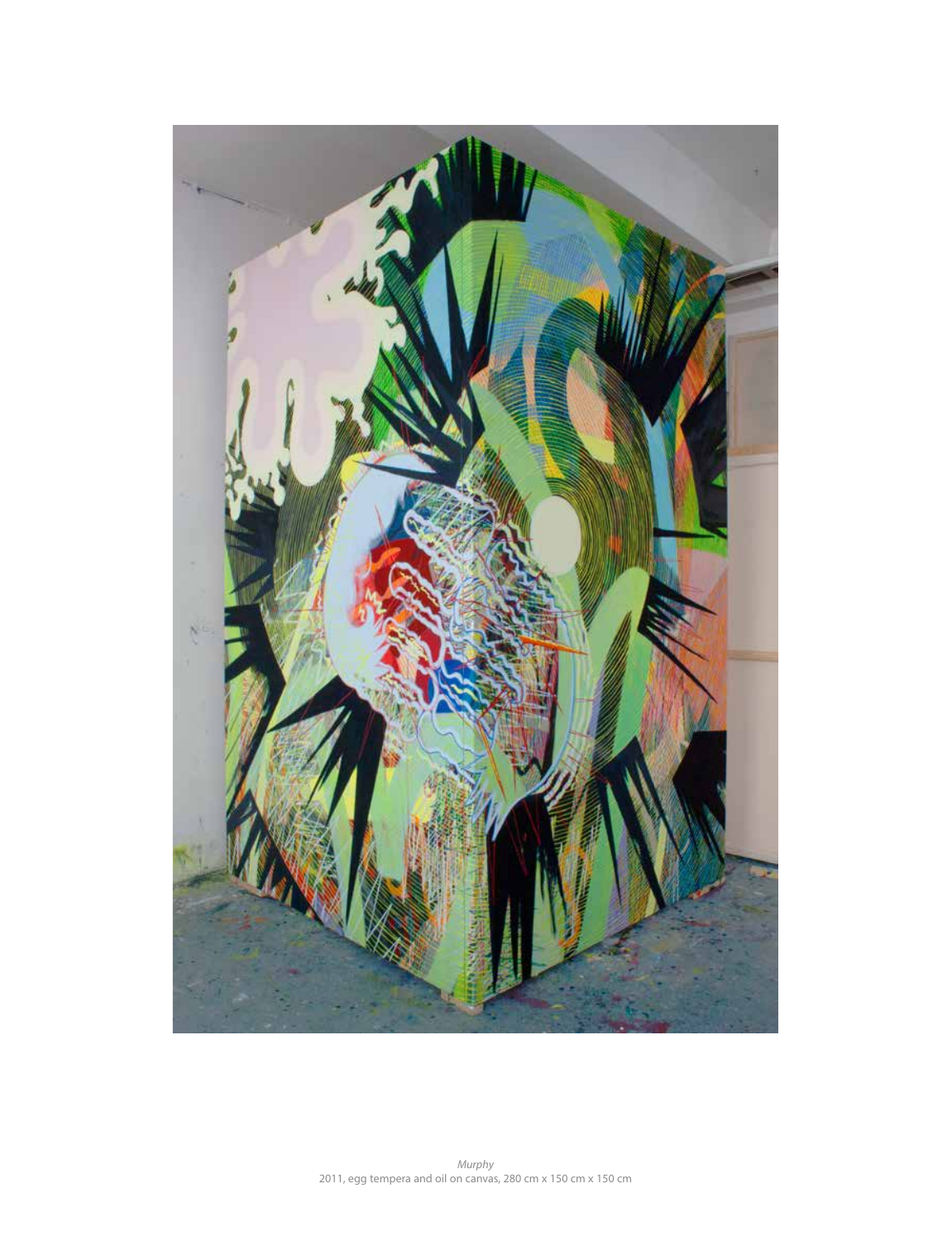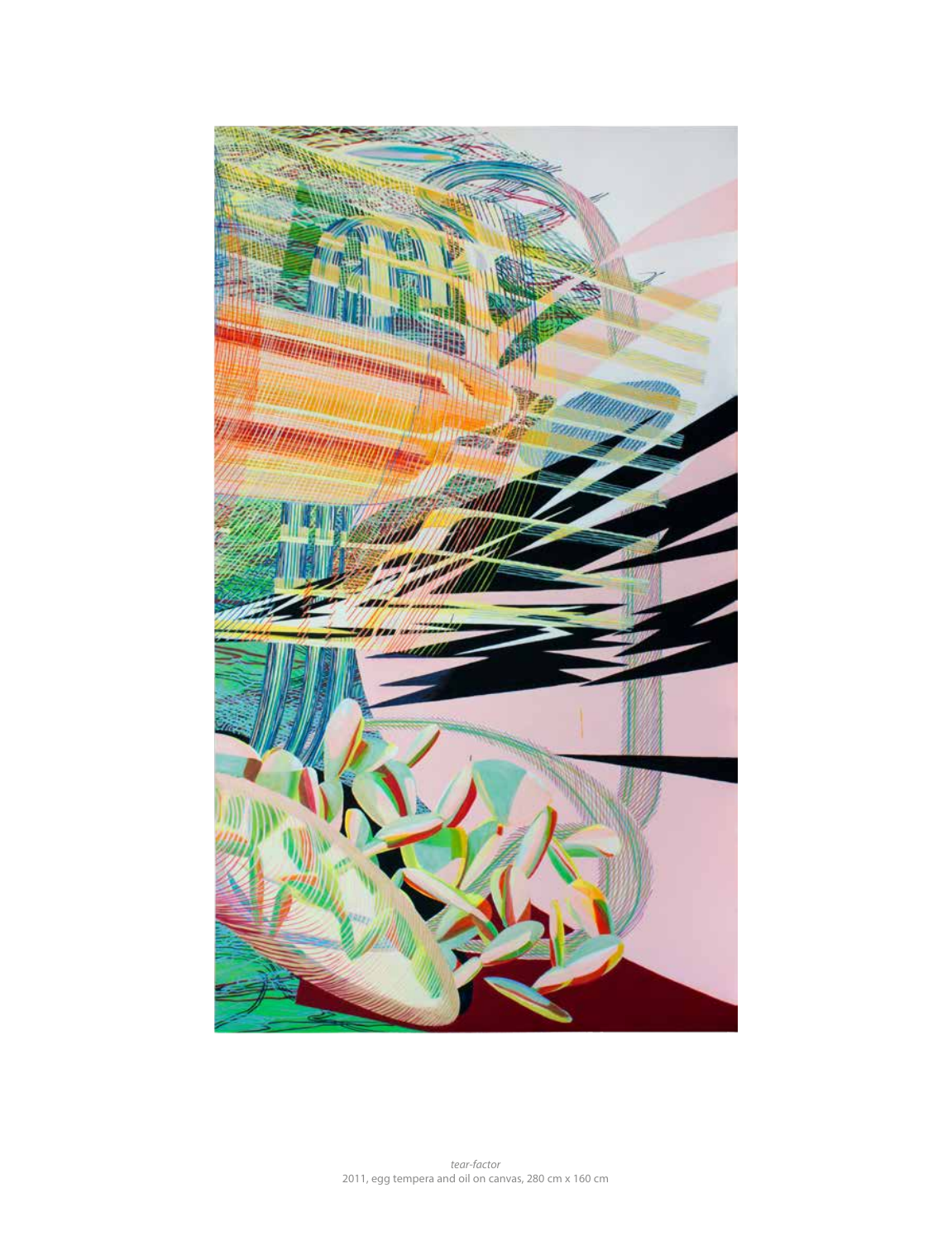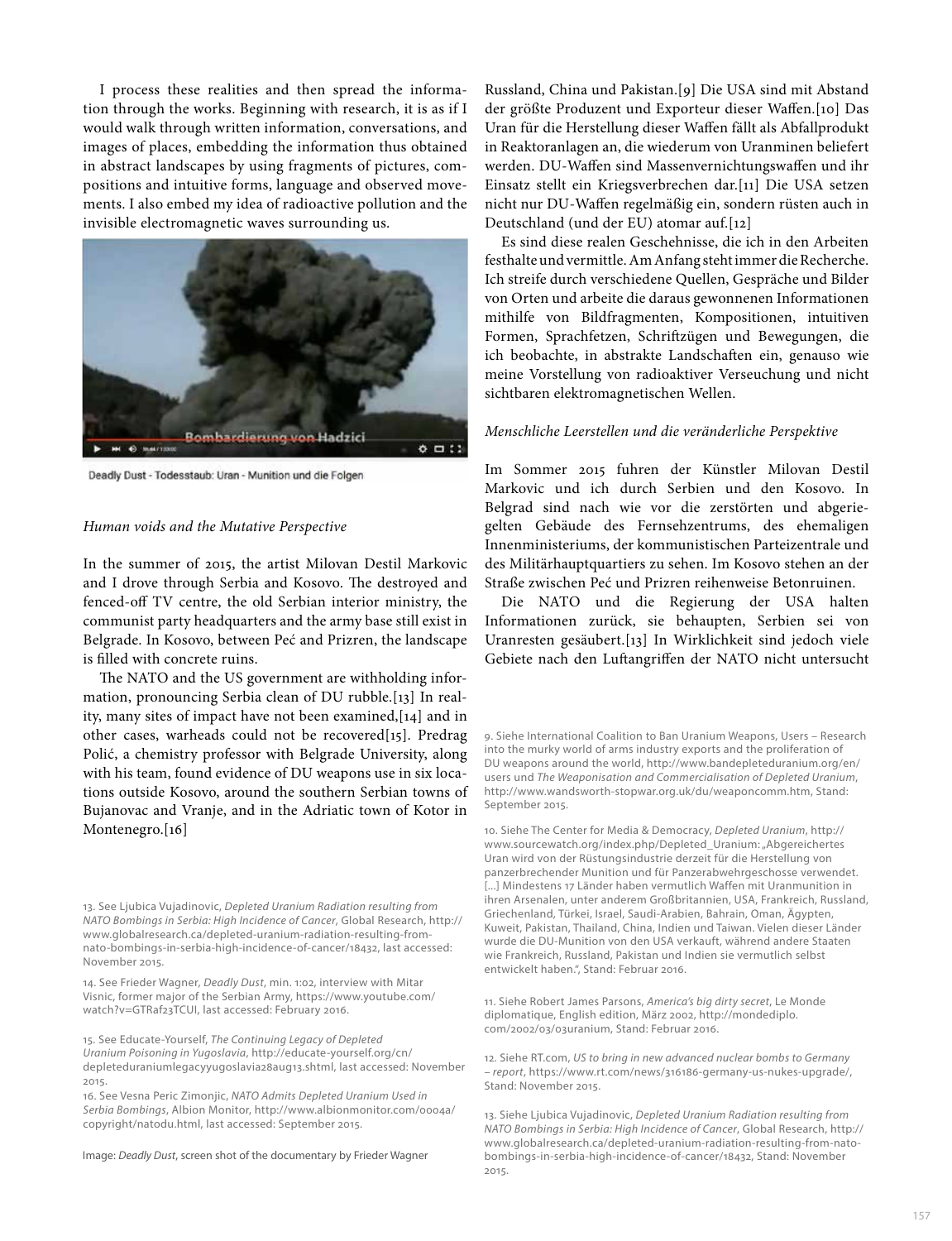I process these realities and then spread the information through the works. Beginning with research, it is as if I would walk through written information, conversations, and images of places, embedding the information thus obtained in abstract landscapes by using fragments of pictures, compositions and intuitive forms, language and observed movements. I also embed my idea of radioactive pollution and the invisible electromagnetic waves surrounding us.



Deadly Dust - Todesstaub: Uran - Munition und die Folgen

### *Human voids and the Mutative Perspective*

In the summer of 2015, the artist Milovan Destil Markovic and I drove through Serbia and Kosovo. The destroyed and fenced-of TV centre, the old Serbian interior ministry, the communist party headquarters and the army base still exist in Belgrade. In Kosovo, between Peć and Prizren, the landscape is flled with concrete ruins.

The NATO and the US government are withholding information, pronouncing Serbia clean of DU rubble.[13] In reality, many sites of impact have not been examined,[14] and in other cases, warheads could not be recovered[15]. Predrag Polić, a chemistry professor with Belgrade University, along with his team, found evidence of DU weapons use in six locations outside Kosovo, around the southern Serbian towns of Bujanovac and Vranje, and in the Adriatic town of Kotor in Montenegro.[16]

13. See Ljubica Vujadinovic, *Depleted Uranium Radiation resulting from NATO Bombings in Serbia: High Incidence of Cancer*, Global Research, http:// www.globalresearch.ca/depleted-uranium-radiation-resulting-fromnato-bombings-in-serbia-high-incidence-of-cancer/18432, last accessed: November 2015.

14. See Frieder Wagner*, Deadly Dust*, min. 1:02, interview with Mitar Visnic, former major of the Serbian Army, https://www.youtube.com/ watch?v=GTRaf23TCUI, last accessed: February 2016.

15. See Educate-Yourself, *The Continuing Legacy of Depleted Uranium Poisoning in Yugoslavia*, http://educate-yourself.org/cn/ depleteduraniumlegacyyugoslavia28aug13.shtml, last accessed: November 2015.

16. See Vesna Peric Zimonjic, *NATO Admits Depleted Uranium Used in Serbia Bombings*, Albion Monitor, http://www.albionmonitor.com/0004a/ copyright/natodu.html, last accessed: September 2015.

Image: *Deadly Dust*, screen shot of the documentary by Frieder Wagner

Russland, China und Pakistan.[9] Die USA sind mit Abstand der größte Produzent und Exporteur dieser Wafen.[10] Das Uran für die Herstellung dieser Wafen fällt als Abfallprodukt in Reaktoranlagen an, die wiederum von Uranminen beliefert werden. DU-Wafen sind Massenvernichtungswafen und ihr Einsatz stellt ein Kriegsverbrechen dar.[11] Die USA setzen nicht nur DU-Wafen regelmäßig ein, sondern rüsten auch in Deutschland (und der EU) atomar auf.[12]

Es sind diese realen Geschehnisse, die ich in den Arbeiten festhalte und vermittle. Am Anfang steht immer die Recherche. Ich streife durch verschiedene Quellen, Gespräche und Bilder von Orten und arbeite die daraus gewonnenen Informationen mithilfe von Bildfragmenten, Kompositionen, intuitiven Formen, Sprachfetzen, Schrifzügen und Bewegungen, die ich beobachte, in abstrakte Landschafen ein, genauso wie meine Vorstellung von radioaktiver Verseuchung und nicht sichtbaren elektromagnetischen Wellen.

### *Menschliche Leerstellen und die veränderliche Perspektive*

Im Sommer 2015 fuhren der Künstler Milovan Destil Markovic und ich durch Serbien und den Kosovo. In Belgrad sind nach wie vor die zerstörten und abgeriegelten Gebäude des Fernsehzentrums, des ehemaligen Innenministeriums, der kommunistischen Parteizentrale und des Militärhauptquartiers zu sehen. Im Kosovo stehen an der Straße zwischen Peć und Prizren reihenweise Betonruinen.

Die NATO und die Regierung der USA halten Informationen zurück, sie behaupten, Serbien sei von Uranresten gesäubert.[13] In Wirklichkeit sind jedoch viele Gebiete nach den Lufangrifen der NATO nicht untersucht

9. Siehe International Coalition to Ban Uranium Weapons, Users – Research into the murky world of arms industry exports and the proliferation of DU weapons around the world, http://www.bandepleteduranium.org/en/ users und *The Weaponisation and Commercialisation of Depleted Uranium*, http://www.wandsworth-stopwar.org.uk/du/weaponcomm.htm, Stand: September 2015.

10. Siehe The Center for Media & Democracy, *Depleted Uranium*, http:// www.sourcewatch.org/index.php/Depleted Uranium: "Abgereichertes Uran wird von der Rüstungsindustrie derzeit für die Herstellung von panzerbrechender Munition und für Panzerabwehrgeschosse verwendet. [...] Mindestens 17 Länder haben vermutlich Waffen mit Uranmunition in ihren Arsenalen, unter anderem Großbritannien, USA, Frankreich, Russland, Griechenland, Türkei, Israel, Saudi-Arabien, Bahrain, Oman, Ägypten, Kuweit, Pakistan, Thailand, China, Indien und Taiwan. Vielen dieser Länder wurde die DU-Munition von den USA verkauft, während andere Staaten wie Frankreich, Russland, Pakistan und Indien sie vermutlich selbst entwickelt haben.", Stand: Februar 2016.

11. Siehe Robert James Parsons, *America's big dirty secret*, Le Monde diplomatique, English edition, März 2002, http://mondediplo. com/2002/03/03uranium, Stand: Februar 2016.

12. Siehe RT.com, *US to bring in new advanced nuclear bombs to Germany – report*, https://www.rt.com/news/316186-germany-us-nukes-upgrade/, Stand: November 2015.

13. Siehe Ljubica Vujadinovic, *Depleted Uranium Radiation resulting from NATO Bombings in Serbia: High Incidence of Cancer*, Global Research, http:// www.globalresearch.ca/depleted-uranium-radiation-resulting-from-natobombings-in-serbia-high-incidence-of-cancer/18432, Stand: November 2015.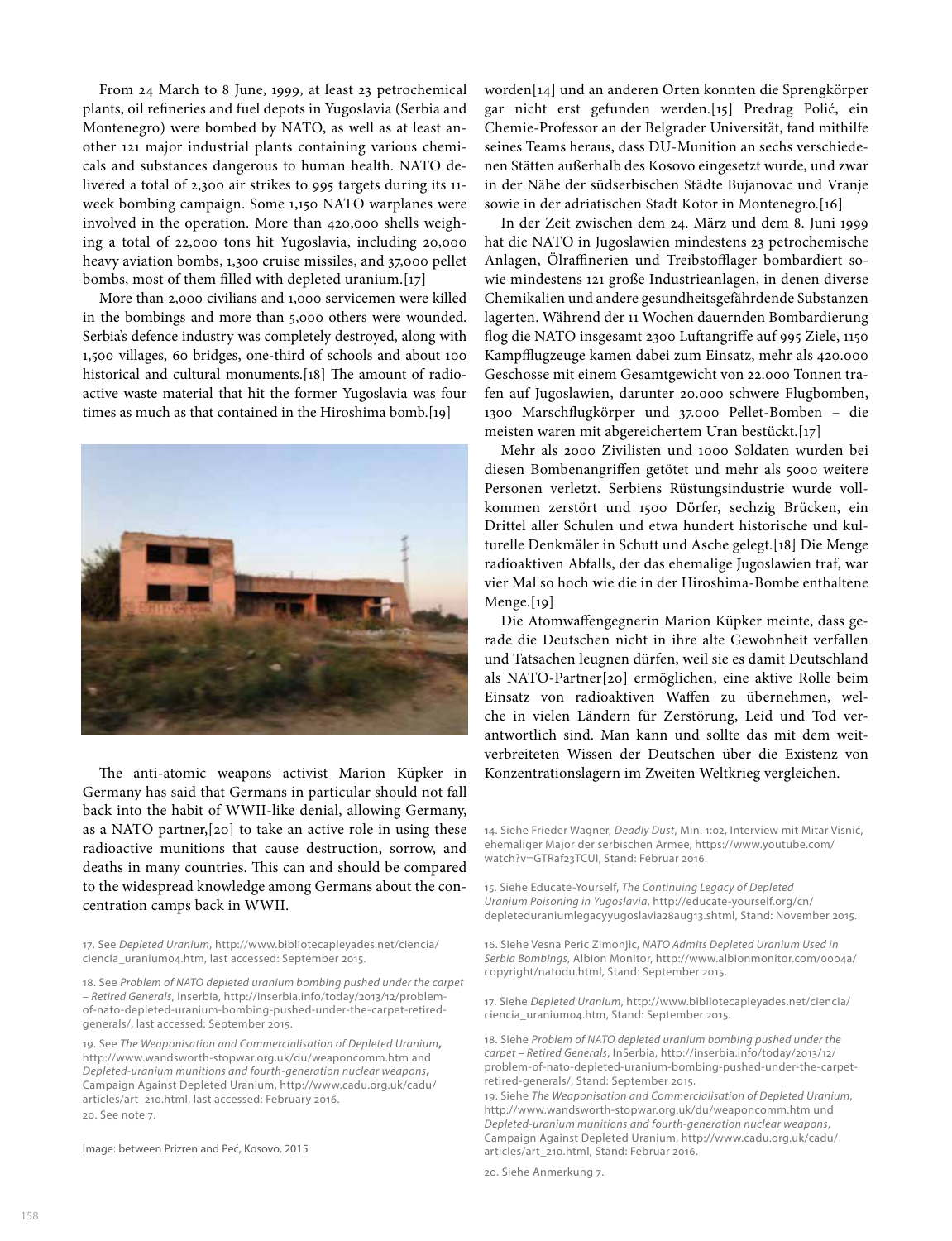From 24 March to 8 June, 1999, at least 23 petrochemical plants, oil refneries and fuel depots in Yugoslavia (Serbia and Montenegro) were bombed by NATO, as well as at least another 121 major industrial plants containing various chemicals and substances dangerous to human health. NATO delivered a total of 2,300 air strikes to 995 targets during its 11 week bombing campaign. Some 1,150 NATO warplanes were involved in the operation. More than 420,000 shells weighing a total of 22,000 tons hit Yugoslavia, including 20,000 heavy aviation bombs, 1,300 cruise missiles, and 37,000 pellet bombs, most of them flled with depleted uranium.[17]

More than 2,000 civilians and 1,000 servicemen were killed in the bombings and more than 5,000 others were wounded. Serbia's defence industry was completely destroyed, along with 1,500 villages, 60 bridges, one-third of schools and about 100 historical and cultural monuments.[18] The amount of radioactive waste material that hit the former Yugoslavia was four times as much as that contained in the Hiroshima bomb.[19]



The anti-atomic weapons activist Marion Küpker in Germany has said that Germans in particular should not fall back into the habit of WWII-like denial, allowing Germany, as a NATO partner,[20] to take an active role in using these radioactive munitions that cause destruction, sorrow, and deaths in many countries. This can and should be compared to the widespread knowledge among Germans about the concentration camps back in WWII.

17. See *Depleted Uranium*, http://www.bibliotecapleyades.net/ciencia/ ciencia\_uranium04.htm, last accessed: September 2015.

18. See *Problem of NATO depleted uranium bombing pushed under the carpet – Retired Generals*, Inserbia, http://inserbia.info/today/2013/12/problemof-nato-depleted-uranium-bombing-pushed-under-the-carpet-retiredgenerals/, last accessed: September 2015.

19. See *The Weaponisation and Commercialisation of Depleted Uranium***,** http://www.wandsworth-stopwar.org.uk/du/weaponcomm.htm and *Depleted-uranium munitions and fourth-generation nuclear weapons***,** Campaign Against Depleted Uranium, http://www.cadu.org.uk/cadu/ articles/art\_210.html, last accessed: February 2016. 20. See note 7.

Image: between Prizren and Peć, Kosovo, 2015

worden[14] und an anderen Orten konnten die Sprengkörper gar nicht erst gefunden werden.[15] Predrag Polić, ein Chemie-Professor an der Belgrader Universität, fand mithilfe seines Teams heraus, dass DU-Munition an sechs verschiedenen Stätten außerhalb des Kosovo eingesetzt wurde, und zwar in der Nähe der südserbischen Städte Bujanovac und Vranje sowie in der adriatischen Stadt Kotor in Montenegro.[16]

In der Zeit zwischen dem 24. März und dem 8. Juni 1999 hat die NATO in Jugoslawien mindestens 23 petrochemische Anlagen, Ölraffinerien und Treibstofflager bombardiert sowie mindestens 121 große Industrieanlagen, in denen diverse Chemikalien und andere gesundheitsgefährdende Substanzen lagerten. Während der 11 Wochen dauernden Bombardierung fog die NATO insgesamt 2300 Lufangrife auf 995 Ziele, 1150 Kampfflugzeuge kamen dabei zum Einsatz, mehr als 420.000 Geschosse mit einem Gesamtgewicht von 22.000 Tonnen trafen auf Jugoslawien, darunter 20.000 schwere Flugbomben, 1300 Marschfugkörper und 37.000 Pellet-Bomben – die meisten waren mit abgereichertem Uran bestückt.[17]

Mehr als 2000 Zivilisten und 1000 Soldaten wurden bei diesen Bombenangrifen getötet und mehr als 5000 weitere Personen verletzt. Serbiens Rüstungsindustrie wurde vollkommen zerstört und 1500 Dörfer, sechzig Brücken, ein Drittel aller Schulen und etwa hundert historische und kulturelle Denkmäler in Schutt und Asche gelegt.[18] Die Menge radioaktiven Abfalls, der das ehemalige Jugoslawien traf, war vier Mal so hoch wie die in der Hiroshima-Bombe enthaltene Menge.[19]

Die Atomwafengegnerin Marion Küpker meinte, dass gerade die Deutschen nicht in ihre alte Gewohnheit verfallen und Tatsachen leugnen dürfen, weil sie es damit Deutschland als NATO-Partner[20] ermöglichen, eine aktive Rolle beim Einsatz von radioaktiven Wafen zu übernehmen, welche in vielen Ländern für Zerstörung, Leid und Tod verantwortlich sind. Man kann und sollte das mit dem weitverbreiteten Wissen der Deutschen über die Existenz von Konzentrationslagern im Zweiten Weltkrieg vergleichen.

14. Siehe Frieder Wagner, *Deadly Dust*, Min. 1:02, Interview mit Mitar Visnić, ehemaliger Major der serbischen Armee, https://www.youtube.com/ watch?v=GTRaf23TCUI, Stand: Februar 2016.

15. Siehe Educate-Yourself, *The Continuing Legacy of Depleted Uranium Poisoning in Yugoslavia*, http://educate-yourself.org/cn/ depleteduraniumlegacyyugoslavia28aug13.shtml, Stand: November 2015.

16. Siehe Vesna Peric Zimonjic, *NATO Admits Depleted Uranium Used in Serbia Bombings*, Albion Monitor, http://www.albionmonitor.com/0004a/ copyright/natodu.html, Stand: September 2015.

17. Siehe *Depleted Uranium*, http://www.bibliotecapleyades.net/ciencia/ ciencia\_uranium04.htm, Stand: September 2015.

18. Siehe *Problem of NATO depleted uranium bombing pushed under the carpet – Retired Generals*, InSerbia, http://inserbia.info/today/2013/12/ problem-of-nato-depleted-uranium-bombing-pushed-under-the-carpetretired-generals/, Stand: September 2015.

19. Siehe *The Weaponisation and Commercialisation of Depleted Uranium*, http://www.wandsworth-stopwar.org.uk/du/weaponcomm.htm und *Depleted-uranium munitions and fourth-generation nuclear weapons*, Campaign Against Depleted Uranium, http://www.cadu.org.uk/cadu/ articles/art\_210.html, Stand: Februar 2016.

20. Siehe Anmerkung 7.